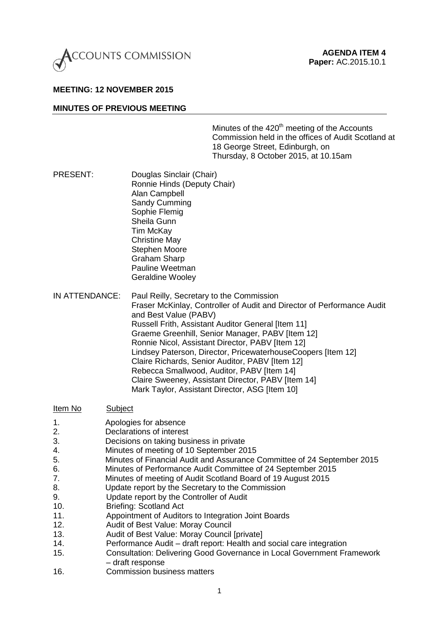

#### **MEETING: 12 NOVEMBER 2015**

#### **MINUTES OF PREVIOUS MEETING**

Minutes of the  $420<sup>th</sup>$  meeting of the Accounts Commission held in the offices of Audit Scotland at 18 George Street, Edinburgh, on Thursday, 8 October 2015, at 10.15am

- PRESENT: Douglas Sinclair (Chair) Ronnie Hinds (Deputy Chair) Alan Campbell Sandy Cumming Sophie Flemig Sheila Gunn Tim McKay Christine May Stephen Moore Graham Sharp Pauline Weetman Geraldine Wooley
- IN ATTENDANCE: Paul Reilly, Secretary to the Commission Fraser McKinlay, Controller of Audit and Director of Performance Audit and Best Value (PABV) Russell Frith, Assistant Auditor General [Item 11] Graeme Greenhill, Senior Manager, PABV [Item 12] Ronnie Nicol, Assistant Director, PABV [Item 12] Lindsey Paterson, Director, PricewaterhouseCoopers [Item 12] Claire Richards, Senior Auditor, PABV [Item 12] Rebecca Smallwood, Auditor, PABV [Item 14] Claire Sweeney, Assistant Director, PABV [Item 14]
- Mark Taylor, Assistant Director, ASG [Item 10] Item No Subject 1. Apologies for absence 2. Declarations of interest 3. Decisions on taking business in private 4. Minutes of meeting of 10 September 2015 5. Minutes of Financial Audit and Assurance Committee of 24 September 2015 6. Minutes of Performance Audit Committee of 24 September 2015 7. Minutes of meeting of Audit Scotland Board of 19 August 2015 8. Update report by the Secretary to the Commission 9. Update report by the Controller of Audit
- 
- 10. Briefing: Scotland Act
- 11. Appointment of Auditors to Integration Joint Boards
- 12. Audit of Best Value: Moray Council
- 13. Audit of Best Value: Moray Council [private]
- 14. Performance Audit draft report: Health and social care integration
- 15. Consultation: Delivering Good Governance in Local Government Framework – draft response
- 16. Commission business matters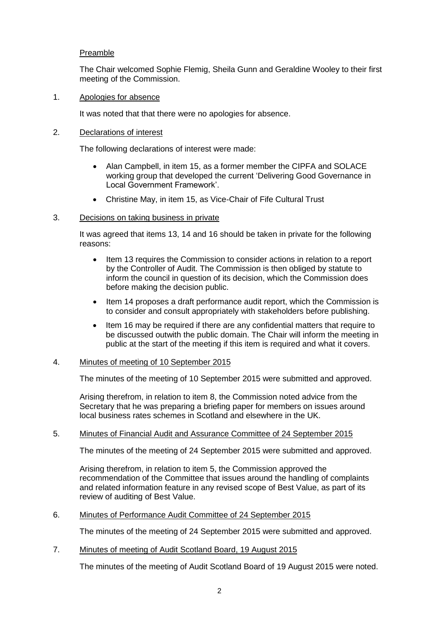# Preamble

The Chair welcomed Sophie Flemig, Sheila Gunn and Geraldine Wooley to their first meeting of the Commission.

## 1. Apologies for absence

It was noted that that there were no apologies for absence.

### 2. Declarations of interest

The following declarations of interest were made:

- Alan Campbell, in item 15, as a former member the CIPFA and SOLACE working group that developed the current 'Delivering Good Governance in Local Government Framework'.
- Christine May, in item 15, as Vice-Chair of Fife Cultural Trust

### 3. Decisions on taking business in private

It was agreed that items 13, 14 and 16 should be taken in private for the following reasons:

- Item 13 requires the Commission to consider actions in relation to a report by the Controller of Audit. The Commission is then obliged by statute to inform the council in question of its decision, which the Commission does before making the decision public.
- Item 14 proposes a draft performance audit report, which the Commission is to consider and consult appropriately with stakeholders before publishing.
- Item 16 may be required if there are any confidential matters that require to be discussed outwith the public domain. The Chair will inform the meeting in public at the start of the meeting if this item is required and what it covers.

# 4. Minutes of meeting of 10 September 2015

The minutes of the meeting of 10 September 2015 were submitted and approved.

Arising therefrom, in relation to item 8, the Commission noted advice from the Secretary that he was preparing a briefing paper for members on issues around local business rates schemes in Scotland and elsewhere in the UK.

# 5. Minutes of Financial Audit and Assurance Committee of 24 September 2015

The minutes of the meeting of 24 September 2015 were submitted and approved.

Arising therefrom, in relation to item 5, the Commission approved the recommendation of the Committee that issues around the handling of complaints and related information feature in any revised scope of Best Value, as part of its review of auditing of Best Value.

6. Minutes of Performance Audit Committee of 24 September 2015

The minutes of the meeting of 24 September 2015 were submitted and approved.

7. Minutes of meeting of Audit Scotland Board, 19 August 2015

The minutes of the meeting of Audit Scotland Board of 19 August 2015 were noted.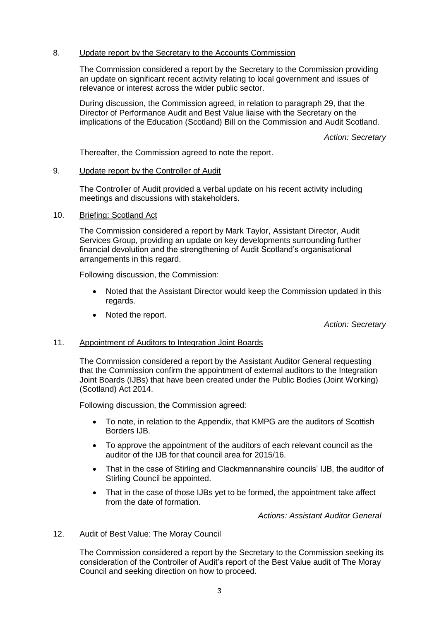## 8. Update report by the Secretary to the Accounts Commission

The Commission considered a report by the Secretary to the Commission providing an update on significant recent activity relating to local government and issues of relevance or interest across the wider public sector.

During discussion, the Commission agreed, in relation to paragraph 29, that the Director of Performance Audit and Best Value liaise with the Secretary on the implications of the Education (Scotland) Bill on the Commission and Audit Scotland.

*Action: Secretary*

Thereafter, the Commission agreed to note the report.

### 9. Update report by the Controller of Audit

The Controller of Audit provided a verbal update on his recent activity including meetings and discussions with stakeholders.

### 10. Briefing: Scotland Act

The Commission considered a report by Mark Taylor, Assistant Director, Audit Services Group, providing an update on key developments surrounding further financial devolution and the strengthening of Audit Scotland's organisational arrangements in this regard.

Following discussion, the Commission:

- Noted that the Assistant Director would keep the Commission updated in this regards.
- Noted the report.

*Action: Secretary*

# 11. Appointment of Auditors to Integration Joint Boards

The Commission considered a report by the Assistant Auditor General requesting that the Commission confirm the appointment of external auditors to the Integration Joint Boards (IJBs) that have been created under the Public Bodies (Joint Working) (Scotland) Act 2014.

Following discussion, the Commission agreed:

- To note, in relation to the Appendix, that KMPG are the auditors of Scottish Borders IJB.
- To approve the appointment of the auditors of each relevant council as the auditor of the IJB for that council area for 2015/16.
- That in the case of Stirling and Clackmannanshire councils' IJB, the auditor of Stirling Council be appointed.
- That in the case of those IJBs yet to be formed, the appointment take affect from the date of formation.

*Actions: Assistant Auditor General*

# 12. Audit of Best Value: The Moray Council

The Commission considered a report by the Secretary to the Commission seeking its consideration of the Controller of Audit's report of the Best Value audit of The Moray Council and seeking direction on how to proceed.